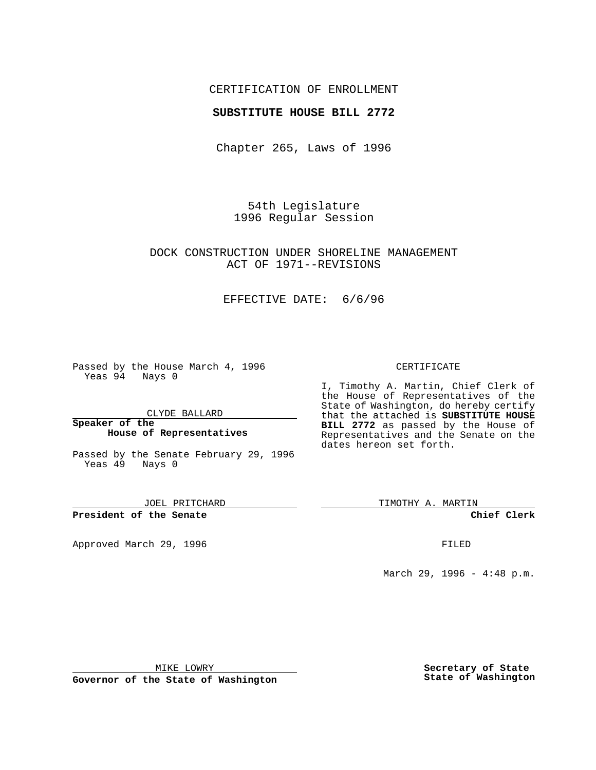# CERTIFICATION OF ENROLLMENT

# **SUBSTITUTE HOUSE BILL 2772**

Chapter 265, Laws of 1996

54th Legislature 1996 Regular Session

# DOCK CONSTRUCTION UNDER SHORELINE MANAGEMENT ACT OF 1971--REVISIONS

# EFFECTIVE DATE: 6/6/96

Passed by the House March 4, 1996 Yeas 94 Nays 0

CLYDE BALLARD

#### **Speaker of the House of Representatives**

Passed by the Senate February 29, 1996 Yeas 49 Nays 0

### JOEL PRITCHARD

**President of the Senate**

Approved March 29, 1996 FILED

### CERTIFICATE

I, Timothy A. Martin, Chief Clerk of the House of Representatives of the State of Washington, do hereby certify that the attached is **SUBSTITUTE HOUSE BILL 2772** as passed by the House of Representatives and the Senate on the dates hereon set forth.

TIMOTHY A. MARTIN

**Chief Clerk**

March 29, 1996 - 4:48 p.m.

MIKE LOWRY

**Governor of the State of Washington**

**Secretary of State State of Washington**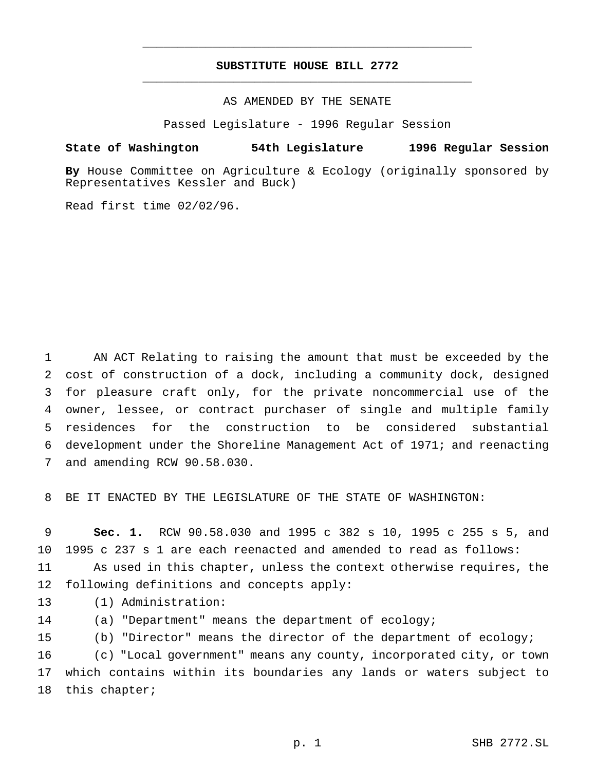# **SUBSTITUTE HOUSE BILL 2772** \_\_\_\_\_\_\_\_\_\_\_\_\_\_\_\_\_\_\_\_\_\_\_\_\_\_\_\_\_\_\_\_\_\_\_\_\_\_\_\_\_\_\_\_\_\_\_

\_\_\_\_\_\_\_\_\_\_\_\_\_\_\_\_\_\_\_\_\_\_\_\_\_\_\_\_\_\_\_\_\_\_\_\_\_\_\_\_\_\_\_\_\_\_\_

AS AMENDED BY THE SENATE

Passed Legislature - 1996 Regular Session

#### **State of Washington 54th Legislature 1996 Regular Session**

**By** House Committee on Agriculture & Ecology (originally sponsored by Representatives Kessler and Buck)

Read first time 02/02/96.

 AN ACT Relating to raising the amount that must be exceeded by the cost of construction of a dock, including a community dock, designed for pleasure craft only, for the private noncommercial use of the owner, lessee, or contract purchaser of single and multiple family residences for the construction to be considered substantial development under the Shoreline Management Act of 1971; and reenacting and amending RCW 90.58.030.

BE IT ENACTED BY THE LEGISLATURE OF THE STATE OF WASHINGTON:

 **Sec. 1.** RCW 90.58.030 and 1995 c 382 s 10, 1995 c 255 s 5, and 1995 c 237 s 1 are each reenacted and amended to read as follows: As used in this chapter, unless the context otherwise requires, the following definitions and concepts apply:

(1) Administration:

(a) "Department" means the department of ecology;

(b) "Director" means the director of the department of ecology;

 (c) "Local government" means any county, incorporated city, or town which contains within its boundaries any lands or waters subject to 18 this chapter;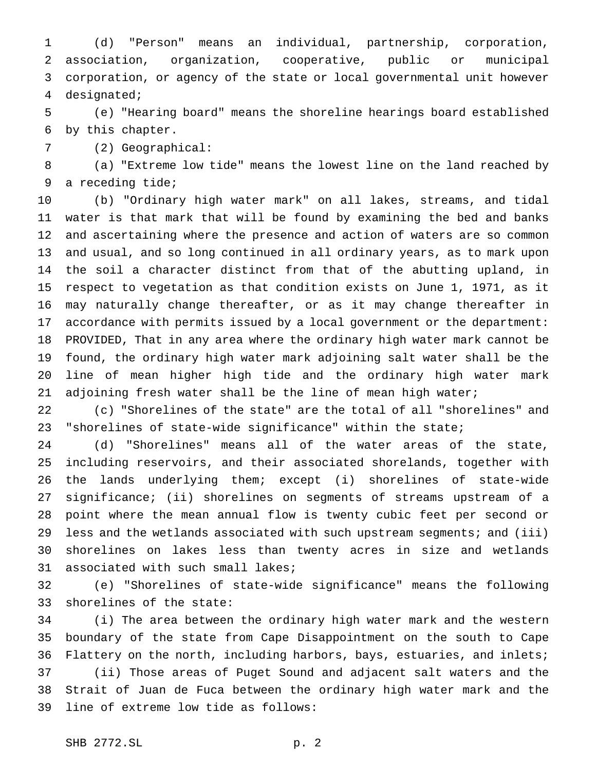(d) "Person" means an individual, partnership, corporation, association, organization, cooperative, public or municipal corporation, or agency of the state or local governmental unit however designated;

 (e) "Hearing board" means the shoreline hearings board established by this chapter.

(2) Geographical:

 (a) "Extreme low tide" means the lowest line on the land reached by a receding tide;

 (b) "Ordinary high water mark" on all lakes, streams, and tidal water is that mark that will be found by examining the bed and banks and ascertaining where the presence and action of waters are so common and usual, and so long continued in all ordinary years, as to mark upon the soil a character distinct from that of the abutting upland, in respect to vegetation as that condition exists on June 1, 1971, as it may naturally change thereafter, or as it may change thereafter in accordance with permits issued by a local government or the department: PROVIDED, That in any area where the ordinary high water mark cannot be found, the ordinary high water mark adjoining salt water shall be the line of mean higher high tide and the ordinary high water mark 21 adjoining fresh water shall be the line of mean high water;

 (c) "Shorelines of the state" are the total of all "shorelines" and "shorelines of state-wide significance" within the state;

 (d) "Shorelines" means all of the water areas of the state, including reservoirs, and their associated shorelands, together with the lands underlying them; except (i) shorelines of state-wide significance; (ii) shorelines on segments of streams upstream of a point where the mean annual flow is twenty cubic feet per second or less and the wetlands associated with such upstream segments; and (iii) shorelines on lakes less than twenty acres in size and wetlands associated with such small lakes;

 (e) "Shorelines of state-wide significance" means the following shorelines of the state:

 (i) The area between the ordinary high water mark and the western boundary of the state from Cape Disappointment on the south to Cape Flattery on the north, including harbors, bays, estuaries, and inlets; (ii) Those areas of Puget Sound and adjacent salt waters and the Strait of Juan de Fuca between the ordinary high water mark and the line of extreme low tide as follows: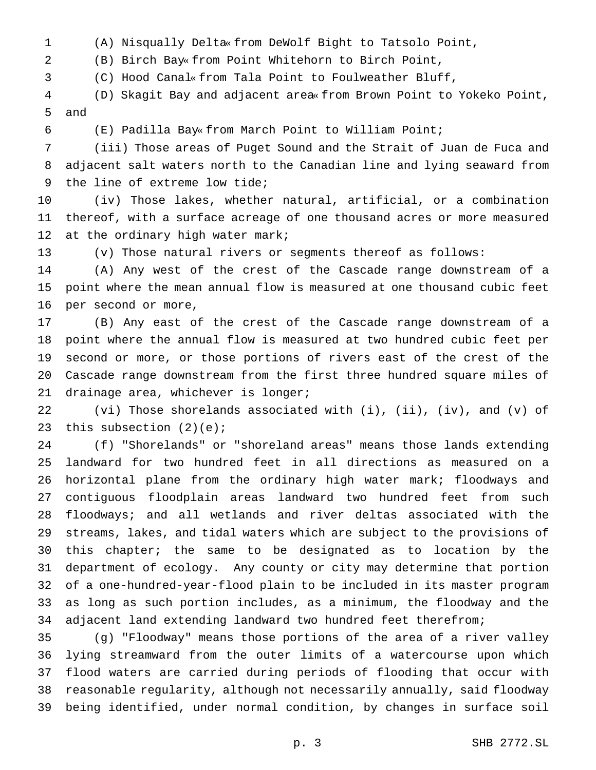(A) Nisqually Delta« from DeWolf Bight to Tatsolo Point,

(B) Birch Bay« from Point Whitehorn to Birch Point,

(C) Hood Canal« from Tala Point to Foulweather Bluff,

 (D) Skagit Bay and adjacent area« from Brown Point to Yokeko Point, and

(E) Padilla Bay« from March Point to William Point;

 (iii) Those areas of Puget Sound and the Strait of Juan de Fuca and adjacent salt waters north to the Canadian line and lying seaward from the line of extreme low tide;

 (iv) Those lakes, whether natural, artificial, or a combination thereof, with a surface acreage of one thousand acres or more measured 12 at the ordinary high water mark;

(v) Those natural rivers or segments thereof as follows:

 (A) Any west of the crest of the Cascade range downstream of a point where the mean annual flow is measured at one thousand cubic feet per second or more,

 (B) Any east of the crest of the Cascade range downstream of a point where the annual flow is measured at two hundred cubic feet per second or more, or those portions of rivers east of the crest of the Cascade range downstream from the first three hundred square miles of drainage area, whichever is longer;

 (vi) Those shorelands associated with (i), (ii), (iv), and (v) of 23 this subsection  $(2)(e)$ ;

 (f) "Shorelands" or "shoreland areas" means those lands extending landward for two hundred feet in all directions as measured on a horizontal plane from the ordinary high water mark; floodways and contiguous floodplain areas landward two hundred feet from such floodways; and all wetlands and river deltas associated with the streams, lakes, and tidal waters which are subject to the provisions of this chapter; the same to be designated as to location by the department of ecology. Any county or city may determine that portion of a one-hundred-year-flood plain to be included in its master program as long as such portion includes, as a minimum, the floodway and the adjacent land extending landward two hundred feet therefrom;

 (g) "Floodway" means those portions of the area of a river valley lying streamward from the outer limits of a watercourse upon which flood waters are carried during periods of flooding that occur with reasonable regularity, although not necessarily annually, said floodway being identified, under normal condition, by changes in surface soil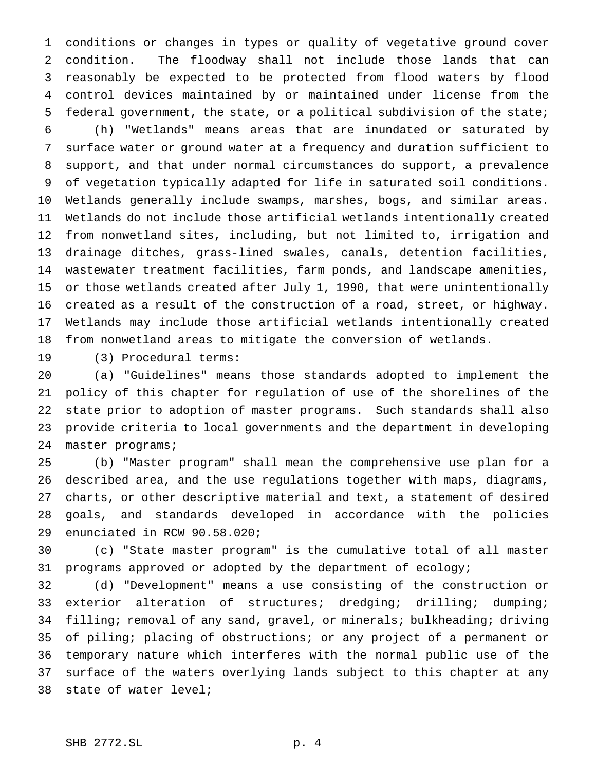conditions or changes in types or quality of vegetative ground cover condition. The floodway shall not include those lands that can reasonably be expected to be protected from flood waters by flood control devices maintained by or maintained under license from the federal government, the state, or a political subdivision of the state;

 (h) "Wetlands" means areas that are inundated or saturated by surface water or ground water at a frequency and duration sufficient to support, and that under normal circumstances do support, a prevalence of vegetation typically adapted for life in saturated soil conditions. Wetlands generally include swamps, marshes, bogs, and similar areas. Wetlands do not include those artificial wetlands intentionally created from nonwetland sites, including, but not limited to, irrigation and drainage ditches, grass-lined swales, canals, detention facilities, wastewater treatment facilities, farm ponds, and landscape amenities, or those wetlands created after July 1, 1990, that were unintentionally created as a result of the construction of a road, street, or highway. Wetlands may include those artificial wetlands intentionally created from nonwetland areas to mitigate the conversion of wetlands.

(3) Procedural terms:

 (a) "Guidelines" means those standards adopted to implement the policy of this chapter for regulation of use of the shorelines of the state prior to adoption of master programs. Such standards shall also provide criteria to local governments and the department in developing 24 master programs;

 (b) "Master program" shall mean the comprehensive use plan for a described area, and the use regulations together with maps, diagrams, charts, or other descriptive material and text, a statement of desired goals, and standards developed in accordance with the policies enunciated in RCW 90.58.020;

 (c) "State master program" is the cumulative total of all master programs approved or adopted by the department of ecology;

 (d) "Development" means a use consisting of the construction or exterior alteration of structures; dredging; drilling; dumping; filling; removal of any sand, gravel, or minerals; bulkheading; driving of piling; placing of obstructions; or any project of a permanent or temporary nature which interferes with the normal public use of the surface of the waters overlying lands subject to this chapter at any state of water level;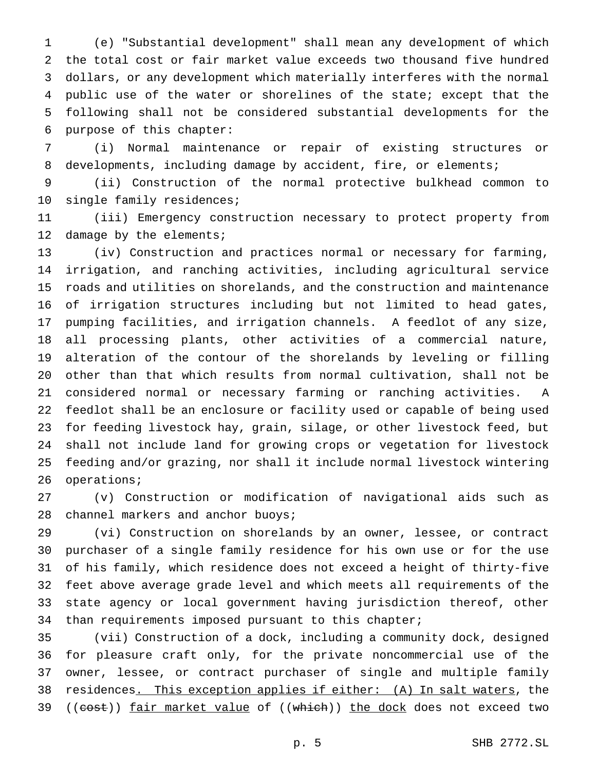(e) "Substantial development" shall mean any development of which the total cost or fair market value exceeds two thousand five hundred dollars, or any development which materially interferes with the normal public use of the water or shorelines of the state; except that the following shall not be considered substantial developments for the purpose of this chapter:

 (i) Normal maintenance or repair of existing structures or developments, including damage by accident, fire, or elements;

 (ii) Construction of the normal protective bulkhead common to single family residences;

 (iii) Emergency construction necessary to protect property from 12 damage by the elements;

 (iv) Construction and practices normal or necessary for farming, irrigation, and ranching activities, including agricultural service roads and utilities on shorelands, and the construction and maintenance of irrigation structures including but not limited to head gates, pumping facilities, and irrigation channels. A feedlot of any size, all processing plants, other activities of a commercial nature, alteration of the contour of the shorelands by leveling or filling other than that which results from normal cultivation, shall not be considered normal or necessary farming or ranching activities. A feedlot shall be an enclosure or facility used or capable of being used for feeding livestock hay, grain, silage, or other livestock feed, but shall not include land for growing crops or vegetation for livestock feeding and/or grazing, nor shall it include normal livestock wintering operations;

 (v) Construction or modification of navigational aids such as 28 channel markers and anchor buoys;

 (vi) Construction on shorelands by an owner, lessee, or contract purchaser of a single family residence for his own use or for the use of his family, which residence does not exceed a height of thirty-five feet above average grade level and which meets all requirements of the state agency or local government having jurisdiction thereof, other than requirements imposed pursuant to this chapter;

 (vii) Construction of a dock, including a community dock, designed for pleasure craft only, for the private noncommercial use of the owner, lessee, or contract purchaser of single and multiple family residences. This exception applies if either: (A) In salt waters, the 39 ((cost)) fair market value of ((which)) the dock does not exceed two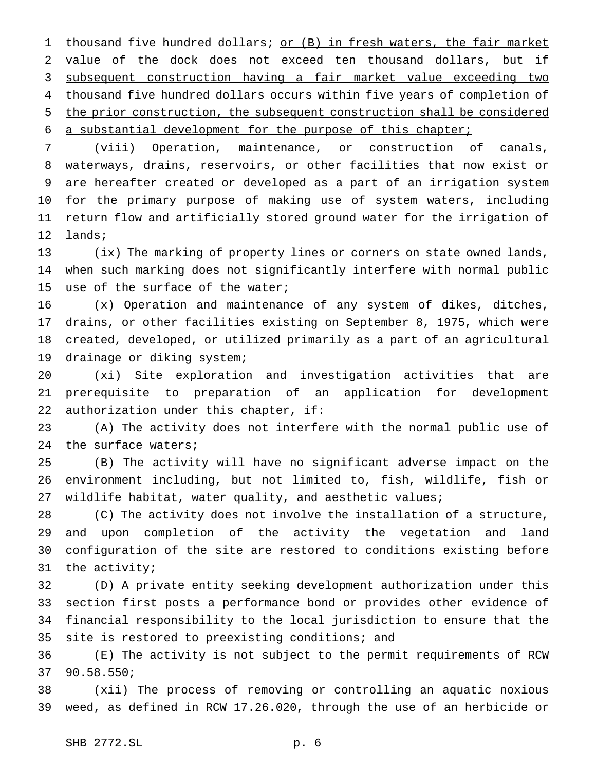1 thousand five hundred dollars; or (B) in fresh waters, the fair market value of the dock does not exceed ten thousand dollars, but if subsequent construction having a fair market value exceeding two 4 thousand five hundred dollars occurs within five years of completion of the prior construction, the subsequent construction shall be considered a substantial development for the purpose of this chapter;

 (viii) Operation, maintenance, or construction of canals, waterways, drains, reservoirs, or other facilities that now exist or are hereafter created or developed as a part of an irrigation system for the primary purpose of making use of system waters, including return flow and artificially stored ground water for the irrigation of lands;

 (ix) The marking of property lines or corners on state owned lands, when such marking does not significantly interfere with normal public use of the surface of the water;

 (x) Operation and maintenance of any system of dikes, ditches, drains, or other facilities existing on September 8, 1975, which were created, developed, or utilized primarily as a part of an agricultural drainage or diking system;

 (xi) Site exploration and investigation activities that are prerequisite to preparation of an application for development authorization under this chapter, if:

 (A) The activity does not interfere with the normal public use of 24 the surface waters;

 (B) The activity will have no significant adverse impact on the environment including, but not limited to, fish, wildlife, fish or 27 wildlife habitat, water quality, and aesthetic values;

 (C) The activity does not involve the installation of a structure, and upon completion of the activity the vegetation and land configuration of the site are restored to conditions existing before the activity;

 (D) A private entity seeking development authorization under this section first posts a performance bond or provides other evidence of financial responsibility to the local jurisdiction to ensure that the site is restored to preexisting conditions; and

 (E) The activity is not subject to the permit requirements of RCW 90.58.550;

 (xii) The process of removing or controlling an aquatic noxious weed, as defined in RCW 17.26.020, through the use of an herbicide or